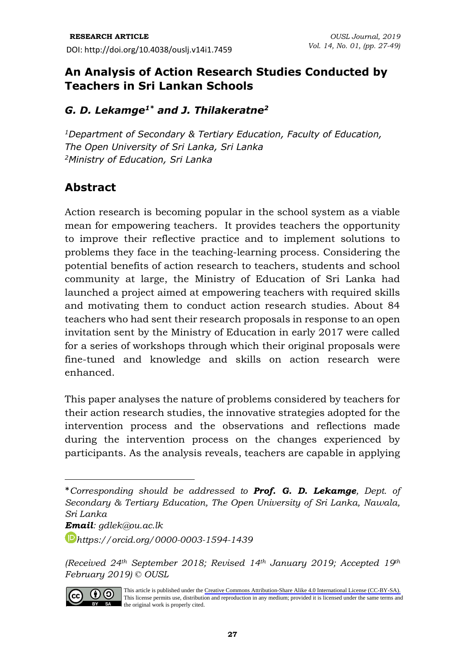## **An Analysis of Action Research Studies Conducted by Teachers in Sri Lankan Schools**

### *G. D. Lekamge1\* and J. Thilakeratne<sup>2</sup>*

*<sup>1</sup>Department of Secondary & Tertiary Education, Faculty of Education, The Open University of Sri Lanka, Sri Lanka <sup>2</sup>Ministry of Education, Sri Lanka*

## **Abstract**

Action research is becoming popular in the school system as a viable mean for empowering teachers. It provides teachers the opportunity to improve their reflective practice and to implement solutions to problems they face in the teaching-learning process. Considering the potential benefits of action research to teachers, students and school community at large, the Ministry of Education of Sri Lanka had launched a project aimed at empowering teachers with required skills and motivating them to conduct action research studies. About 84 teachers who had sent their research proposals in response to an open invitation sent by the Ministry of Education in early 2017 were called for a series of workshops through which their original proposals were fine-tuned and knowledge and skills on action research were enhanced.

This paper analyses the nature of problems considered by teachers for their action research studies, the innovative strategies adopted for the intervention process and the observations and reflections made during the intervention process on the changes experienced by participants. As the analysis reveals, teachers are capable in applying

*Email: [gdlek@ou.ac.lk](mailto:gdlek@ou.ac.lk)*

*[https://orcid.org/0000-0003-1594-1](https://orcid.org/0000-0003-1594-)439*

*(Received 24th September 2018; Revised 14th January 2019; Accepted 19th February 2019) © OUSL*



This article is published under the [Creative Commons Attribution-Share Alike 4.0 International License \(CC-BY-SA\).](https://creativecommons.org/licenses/by-sa/4.0/)  This license permits use, distribution and reproduction in any medium; provided it is licensed under the same terms and BY SA the original work is properly cited.

<sup>\*</sup>*Corresponding should be addressed to Prof. G. D. Lekamge, Dept. of Secondary & Tertiary Education, The Open University of Sri Lanka, Nawala, Sri Lanka*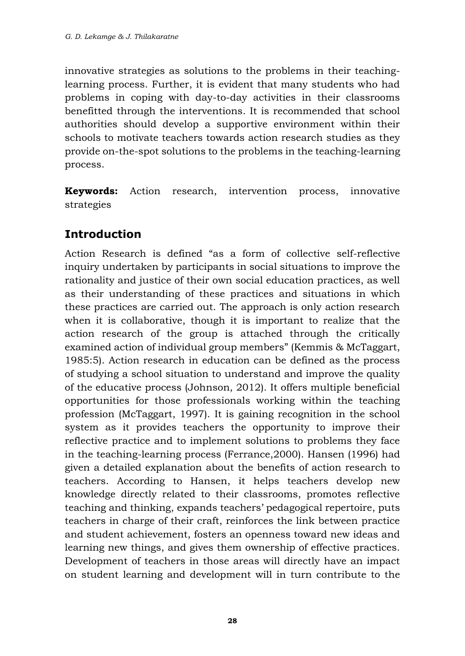innovative strategies as solutions to the problems in their teachinglearning process. Further, it is evident that many students who had problems in coping with day-to-day activities in their classrooms benefitted through the interventions. It is recommended that school authorities should develop a supportive environment within their schools to motivate teachers towards action research studies as they provide on-the-spot solutions to the problems in the teaching-learning process.

**Keywords:** Action research, intervention process, innovative strategies

# **Introduction**

Action Research is defined "as a form of collective self-reflective inquiry undertaken by participants in social situations to improve the rationality and justice of their own social education practices, as well as their understanding of these practices and situations in which these practices are carried out. The approach is only action research when it is collaborative, though it is important to realize that the action research of the group is attached through the critically examined action of individual group members" (Kemmis & McTaggart, 1985:5). Action research in education can be defined as the process of studying a school situation to understand and improve the quality of the educative process (Johnson, 2012). It offers multiple beneficial opportunities for those professionals working within the teaching profession (McTaggart, 1997). It is gaining recognition in the school system as it provides teachers the opportunity to improve their reflective practice and to implement solutions to problems they face in the teaching-learning process (Ferrance,2000). Hansen (1996) had given a detailed explanation about the benefits of action research to teachers. According to Hansen, it helps teachers develop new knowledge directly related to their classrooms, promotes reflective teaching and thinking, expands teachers' pedagogical repertoire, puts teachers in charge of their craft, reinforces the link between practice and student achievement, fosters an openness toward new ideas and learning new things, and gives them ownership of effective practices. Development of teachers in those areas will directly have an impact on student learning and development will in turn contribute to the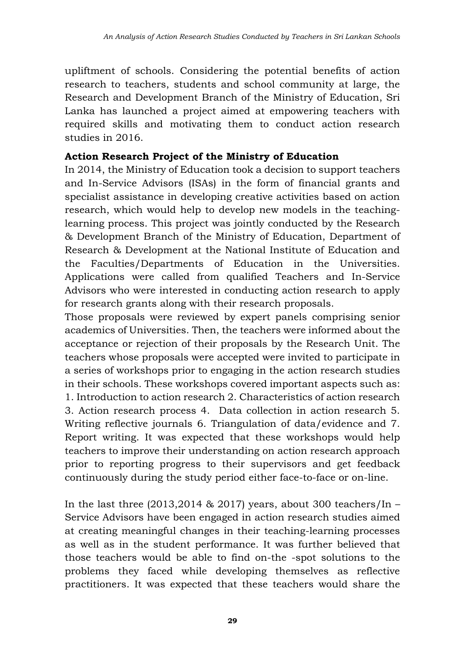upliftment of schools. Considering the potential benefits of action research to teachers, students and school community at large, the Research and Development Branch of the Ministry of Education, Sri Lanka has launched a project aimed at empowering teachers with required skills and motivating them to conduct action research studies in 2016.

#### **Action Research Project of the Ministry of Education**

In 2014, the Ministry of Education took a decision to support teachers and In-Service Advisors (ISAs) in the form of financial grants and specialist assistance in developing creative activities based on action research, which would help to develop new models in the teachinglearning process. This project was jointly conducted by the Research & Development Branch of the Ministry of Education, Department of Research & Development at the National Institute of Education and the Faculties/Departments of Education in the Universities. Applications were called from qualified Teachers and In-Service Advisors who were interested in conducting action research to apply for research grants along with their research proposals.

Those proposals were reviewed by expert panels comprising senior academics of Universities. Then, the teachers were informed about the acceptance or rejection of their proposals by the Research Unit. The teachers whose proposals were accepted were invited to participate in a series of workshops prior to engaging in the action research studies in their schools. These workshops covered important aspects such as: 1. Introduction to action research 2. Characteristics of action research 3. Action research process 4. Data collection in action research 5. Writing reflective journals 6. Triangulation of data/evidence and 7. Report writing. It was expected that these workshops would help teachers to improve their understanding on action research approach prior to reporting progress to their supervisors and get feedback continuously during the study period either face-to-face or on-line.

In the last three  $(2013,2014 \& 2017)$  years, about 300 teachers/In – Service Advisors have been engaged in action research studies aimed at creating meaningful changes in their teaching-learning processes as well as in the student performance. It was further believed that those teachers would be able to find on-the -spot solutions to the problems they faced while developing themselves as reflective practitioners. It was expected that these teachers would share the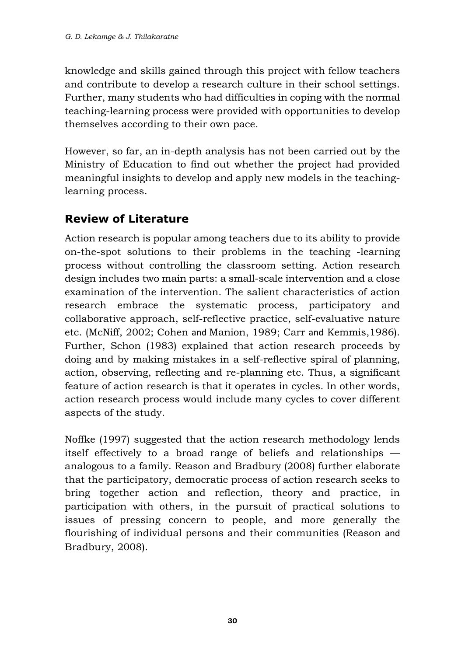knowledge and skills gained through this project with fellow teachers and contribute to develop a research culture in their school settings. Further, many students who had difficulties in coping with the normal teaching-learning process were provided with opportunities to develop themselves according to their own pace.

However, so far, an in-depth analysis has not been carried out by the Ministry of Education to find out whether the project had provided meaningful insights to develop and apply new models in the teachinglearning process.

# **Review of Literature**

Action research is popular among teachers due to its ability to provide on-the-spot solutions to their problems in the teaching -learning process without controlling the classroom setting. Action research design includes two main parts: a small-scale intervention and a close examination of the intervention. The salient characteristics of action research embrace the systematic process, participatory and collaborative approach, self-reflective practice, self-evaluative nature etc. (McNiff, 2002; Cohen and Manion, 1989; Carr and Kemmis,1986). Further, Schon (1983) explained that action research proceeds by doing and by making mistakes in a self-reflective spiral of planning, action, observing, reflecting and re-planning etc. Thus, a significant feature of action research is that it operates in cycles. In other words, action research process would include many cycles to cover different aspects of the study.

Noffke (1997) suggested that the action research methodology lends itself effectively to a broad range of beliefs and relationships analogous to a family. Reason and Bradbury (2008) further elaborate that the participatory, democratic process of action research seeks to bring together action and reflection, theory and practice, in participation with others, in the pursuit of practical solutions to issues of pressing concern to people, and more generally the flourishing of individual persons and their communities (Reason and Bradbury, 2008).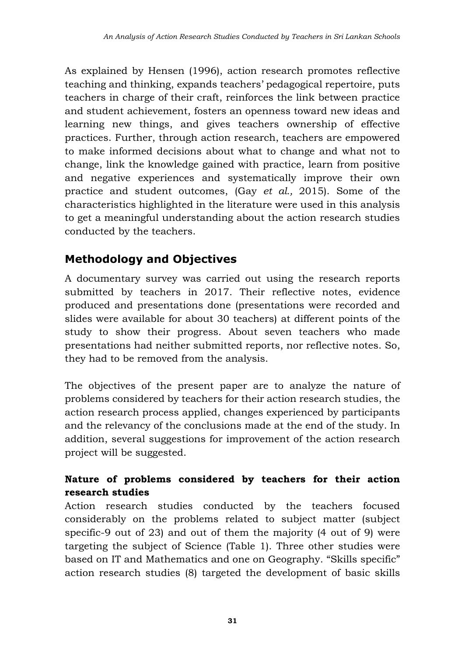As explained by Hensen (1996), action research promotes reflective teaching and thinking, expands teachers' pedagogical repertoire, puts teachers in charge of their craft, reinforces the link between practice and student achievement, fosters an openness toward new ideas and learning new things, and gives teachers ownership of effective practices. Further, through action research, teachers are empowered to make informed decisions about what to change and what not to change, link the knowledge gained with practice, learn from positive and negative experiences and systematically improve their own practice and student outcomes, (Gay *et al.,* 2015). Some of the characteristics highlighted in the literature were used in this analysis to get a meaningful understanding about the action research studies conducted by the teachers.

# **Methodology and Objectives**

A documentary survey was carried out using the research reports submitted by teachers in 2017. Their reflective notes, evidence produced and presentations done (presentations were recorded and slides were available for about 30 teachers) at different points of the study to show their progress. About seven teachers who made presentations had neither submitted reports, nor reflective notes. So, they had to be removed from the analysis.

The objectives of the present paper are to analyze the nature of problems considered by teachers for their action research studies, the action research process applied, changes experienced by participants and the relevancy of the conclusions made at the end of the study. In addition, several suggestions for improvement of the action research project will be suggested.

## **Nature of problems considered by teachers for their action research studies**

Action research studies conducted by the teachers focused considerably on the problems related to subject matter (subject specific-9 out of 23) and out of them the majority (4 out of 9) were targeting the subject of Science (Table 1). Three other studies were based on IT and Mathematics and one on Geography. "Skills specific" action research studies (8) targeted the development of basic skills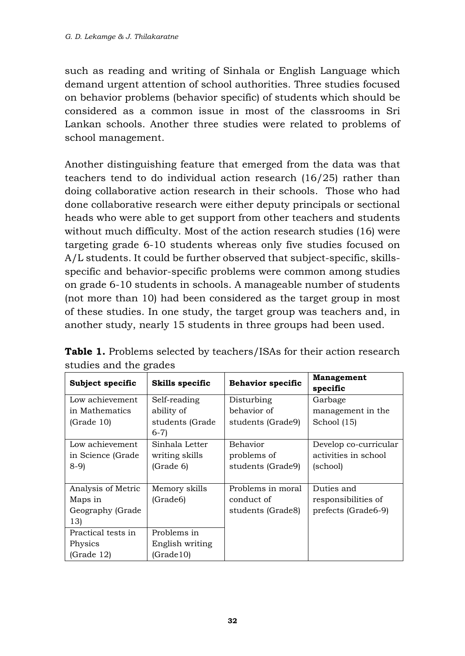such as reading and writing of Sinhala or English Language which demand urgent attention of school authorities. Three studies focused on behavior problems (behavior specific) of students which should be considered as a common issue in most of the classrooms in Sri Lankan schools. Another three studies were related to problems of school management.

Another distinguishing feature that emerged from the data was that teachers tend to do individual action research (16/25) rather than doing collaborative action research in their schools. Those who had done collaborative research were either deputy principals or sectional heads who were able to get support from other teachers and students without much difficulty. Most of the action research studies (16) were targeting grade 6-10 students whereas only five studies focused on A/L students. It could be further observed that subject-specific, skillsspecific and behavior-specific problems were common among studies on grade 6-10 students in schools. A manageable number of students (not more than 10) had been considered as the target group in most of these studies. In one study, the target group was teachers and, in another study, nearly 15 students in three groups had been used.

| Subject specific   | Skills specific | <b>Behavior specific</b> | Management<br>specific |
|--------------------|-----------------|--------------------------|------------------------|
| Low achievement    | Self-reading    | Disturbing               | Garbage                |
| in Mathematics     | ability of      | behavior of              | management in the      |
| (Grade 10)         | students (Grade | students (Grade9)        | School (15)            |
|                    | $6-7$           |                          |                        |
| Low achievement    | Sinhala Letter  | <b>Behavior</b>          | Develop co-curricular  |
| in Science (Grade  | writing skills  | problems of              | activities in school   |
| $8-9$              | (Grade 6)       | students (Grade9)        | (school)               |
|                    |                 |                          |                        |
| Analysis of Metric | Memory skills   | Problems in moral        | Duties and             |
| Maps in            | (Grade6)        | conduct of               | responsibilities of    |
| Geography (Grade   |                 | students (Grade8)        | prefects (Grade6-9)    |
| 13)                |                 |                          |                        |
| Practical tests in | Problems in     |                          |                        |
| Physics            | English writing |                          |                        |
| (Grade 12)         | (Grade10)       |                          |                        |

**Table 1.** Problems selected by teachers/ISAs for their action research studies and the grades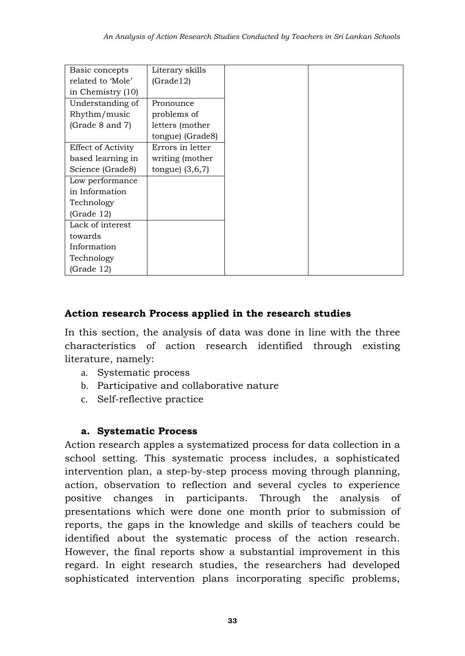| Basic concepts     | Literary skills   |
|--------------------|-------------------|
| related to 'Mole'  | (Grade12)         |
| in Chemistry (10)  |                   |
| Understanding of   | Pronounce         |
| Rhythm/music       | problems of       |
| (Grade 8 and 7)    | letters (mother   |
|                    | tongue) (Grade8)  |
| Effect of Activity | Errors in letter  |
| based learning in  | writing (mother   |
| Science (Grade8)   | tongue) $(3,6,7)$ |
| Low performance    |                   |
| in Information     |                   |
| Technology         |                   |
| (Grade 12)         |                   |
| Lack of interest   |                   |
| towards            |                   |
| Information        |                   |
| Technology         |                   |
| (Grade 12)         |                   |

#### **Action research Process applied in the research studies**

In this section, the analysis of data was done in line with the three characteristics of action research identified through existing literature, namely:

- a. Systematic process
- b. Participative and collaborative nature
- c. Self-reflective practice

#### **a. Systematic Process**

Action research apples a systematized process for data collection in a school setting. This systematic process includes, a sophisticated intervention plan, a step-by-step process moving through planning, action, observation to reflection and several cycles to experience positive changes in participants. Through the analysis of presentations which were done one month prior to submission of reports, the gaps in the knowledge and skills of teachers could be identified about the systematic process of the action research. However, the final reports show a substantial improvement in this regard. In eight research studies, the researchers had developed sophisticated intervention plans incorporating specific problems,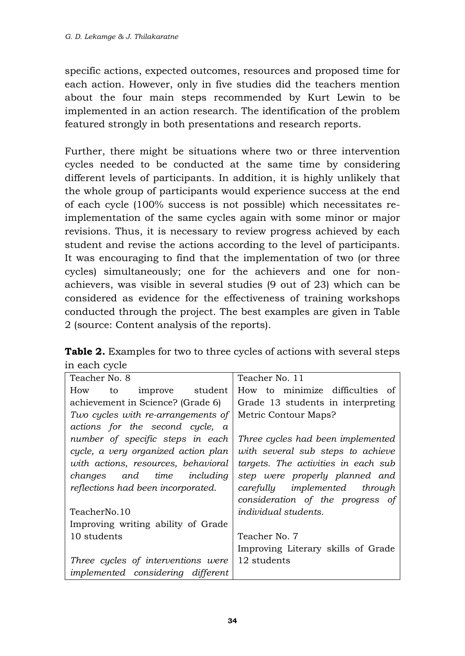specific actions, expected outcomes, resources and proposed time for each action. However, only in five studies did the teachers mention about the four main steps recommended by Kurt Lewin to be implemented in an action research. The identification of the problem featured strongly in both presentations and research reports.

Further, there might be situations where two or three intervention cycles needed to be conducted at the same time by considering different levels of participants. In addition, it is highly unlikely that the whole group of participants would experience success at the end of each cycle (100% success is not possible) which necessitates reimplementation of the same cycles again with some minor or major revisions. Thus, it is necessary to review progress achieved by each student and revise the actions according to the level of participants. It was encouraging to find that the implementation of two (or three cycles) simultaneously; one for the achievers and one for nonachievers, was visible in several studies (9 out of 23) which can be considered as evidence for the effectiveness of training workshops conducted through the project. The best examples are given in Table 2 (source: Content analysis of the reports).

**Table 2.** Examples for two to three cycles of actions with several steps in each cycle

| Teacher No. 8                            | Teacher No. 11                      |  |  |
|------------------------------------------|-------------------------------------|--|--|
| How<br>improve student<br>to to          | How to minimize difficulties of     |  |  |
| achievement in Science? (Grade 6)        | Grade 13 students in interpreting   |  |  |
| Two cycles with re-arrangements of       | Metric Contour Maps?                |  |  |
| actions for the second cycle, a          |                                     |  |  |
| number of specific steps in each         | Three cycles had been implemented   |  |  |
| cycle, a very organized action plan      | with several sub steps to achieve   |  |  |
| with actions, resources, behavioral      | targets. The activities in each sub |  |  |
| changes and time including               | step were properly planned and      |  |  |
| reflections had been incorporated.       | carefully implemented<br>through    |  |  |
|                                          | consideration of the progress of    |  |  |
| TeacherNo.10                             | <i>individual students.</i>         |  |  |
| Improving writing ability of Grade       |                                     |  |  |
| 10 students                              | Teacher No. 7                       |  |  |
|                                          | Improving Literary skills of Grade  |  |  |
| Three cycles of interventions were       | 12 students                         |  |  |
| <i>implemented</i> considering different |                                     |  |  |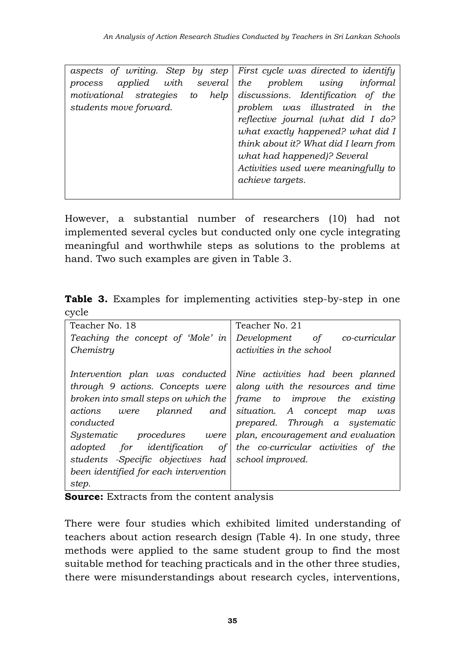|                                 |            | aspects of writing. Step by step First cycle was directed to identify |
|---------------------------------|------------|-----------------------------------------------------------------------|
| applied with several<br>process |            | problem using<br>the<br>informal                                      |
| motivational strategies         | to<br>help | discussions. Identification of<br>the                                 |
| students move forward.          |            | problem was illustrated in<br>the                                     |
|                                 |            | reflective journal (what did I do?                                    |
|                                 |            | what exactly happened? what did I                                     |
|                                 |            | think about it? What did I learn from                                 |
|                                 |            | what had happened)? Several                                           |
|                                 |            | Activities used were meaningfully to                                  |
|                                 |            | achieve targets.                                                      |
|                                 |            |                                                                       |

However, a substantial number of researchers (10) had not implemented several cycles but conducted only one cycle integrating meaningful and worthwhile steps as solutions to the problems at hand. Two such examples are given in Table 3.

|       |  | <b>Table 3.</b> Examples for implementing activities step-by-step in one |  |  |
|-------|--|--------------------------------------------------------------------------|--|--|
| cycle |  |                                                                          |  |  |

| Teacher No. 18                        | Teacher No. 21                      |  |
|---------------------------------------|-------------------------------------|--|
| Teaching the concept of 'Mole' in     | Development of co-curricular        |  |
| Chemistry                             | <i>activities in the school</i>     |  |
|                                       |                                     |  |
| Intervention plan was conducted       | Nine activities had been planned    |  |
| through 9 actions. Concepts were      | along with the resources and time   |  |
| broken into small steps on which the  | frame to improve the existing       |  |
| actions<br>planned and<br>were        | situation. A concept map<br>was     |  |
| conducted                             | prepared. Through a systematic      |  |
| procedures were<br>Sustematic         | plan, encouragement and evaluation  |  |
| adopted for identification of         | the co-curricular activities of the |  |
| students -Specific objectives had     | school improved.                    |  |
| been identified for each intervention |                                     |  |
| step.                                 |                                     |  |

**Source:** Extracts from the content analysis

There were four studies which exhibited limited understanding of teachers about action research design (Table 4). In one study, three methods were applied to the same student group to find the most suitable method for teaching practicals and in the other three studies, there were misunderstandings about research cycles, interventions,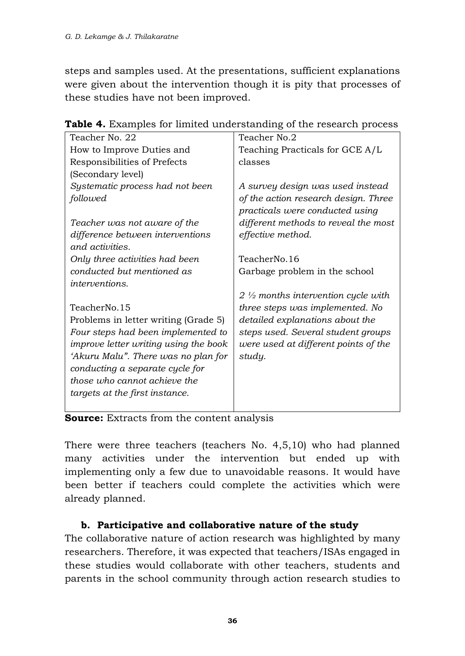steps and samples used. At the presentations, sufficient explanations were given about the intervention though it is pity that processes of these studies have not been improved.

| Teacher No. 22                        | Teacher No.2                                                            |
|---------------------------------------|-------------------------------------------------------------------------|
| How to Improve Duties and             | Teaching Practicals for GCE A/L                                         |
| Responsibilities of Prefects          | classes                                                                 |
| (Secondary level)                     |                                                                         |
| Systematic process had not been       | A survey design was used instead                                        |
| followed                              | of the action research design. Three<br>practicals were conducted using |
| Teacher was not aware of the          | different methods to reveal the most                                    |
| difference between interventions      | effective method.                                                       |
| and activities.                       |                                                                         |
| Only three activities had been        | TeacherNo.16                                                            |
| conducted but mentioned as            | Garbage problem in the school                                           |
| <i>interventions.</i>                 |                                                                         |
|                                       | $2 \frac{1}{2}$ months intervention cycle with                          |
| TeacherNo.15                          | three steps was implemented. No                                         |
| Problems in letter writing (Grade 5)  | detailed explanations about the                                         |
| Four steps had been implemented to    | steps used. Several student groups                                      |
| improve letter writing using the book | were used at different points of the                                    |
| 'Akuru Malu". There was no plan for   | study.                                                                  |
| conducting a separate cycle for       |                                                                         |
| those who cannot achieve the          |                                                                         |
| targets at the first instance.        |                                                                         |
|                                       |                                                                         |

**Table 4.** Examples for limited understanding of the research process

**Source:** Extracts from the content analysis

There were three teachers (teachers No. 4,5,10) who had planned many activities under the intervention but ended up with implementing only a few due to unavoidable reasons. It would have been better if teachers could complete the activities which were already planned.

### **b. Participative and collaborative nature of the study**

The collaborative nature of action research was highlighted by many researchers. Therefore, it was expected that teachers/ISAs engaged in these studies would collaborate with other teachers, students and parents in the school community through action research studies to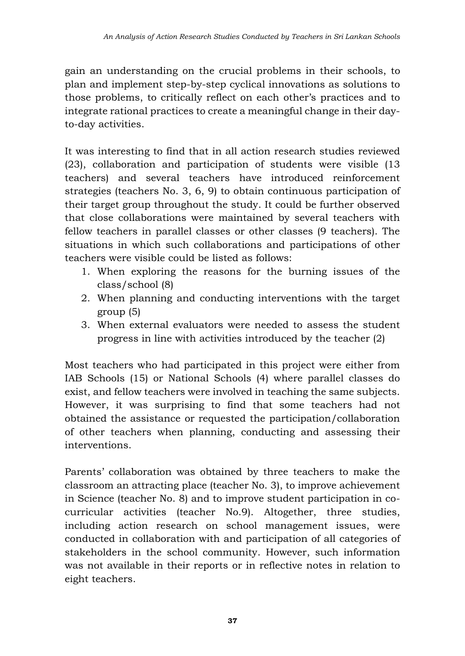gain an understanding on the crucial problems in their schools, to plan and implement step-by-step cyclical innovations as solutions to those problems, to critically reflect on each other's practices and to integrate rational practices to create a meaningful change in their dayto-day activities.

It was interesting to find that in all action research studies reviewed (23), collaboration and participation of students were visible (13 teachers) and several teachers have introduced reinforcement strategies (teachers No. 3, 6, 9) to obtain continuous participation of their target group throughout the study. It could be further observed that close collaborations were maintained by several teachers with fellow teachers in parallel classes or other classes (9 teachers). The situations in which such collaborations and participations of other teachers were visible could be listed as follows:

- 1. When exploring the reasons for the burning issues of the class/school (8)
- 2. When planning and conducting interventions with the target group (5)
- 3. When external evaluators were needed to assess the student progress in line with activities introduced by the teacher (2)

Most teachers who had participated in this project were either from IAB Schools (15) or National Schools (4) where parallel classes do exist, and fellow teachers were involved in teaching the same subjects. However, it was surprising to find that some teachers had not obtained the assistance or requested the participation/collaboration of other teachers when planning, conducting and assessing their interventions.

Parents' collaboration was obtained by three teachers to make the classroom an attracting place (teacher No. 3), to improve achievement in Science (teacher No. 8) and to improve student participation in cocurricular activities (teacher No.9). Altogether, three studies, including action research on school management issues, were conducted in collaboration with and participation of all categories of stakeholders in the school community. However, such information was not available in their reports or in reflective notes in relation to eight teachers.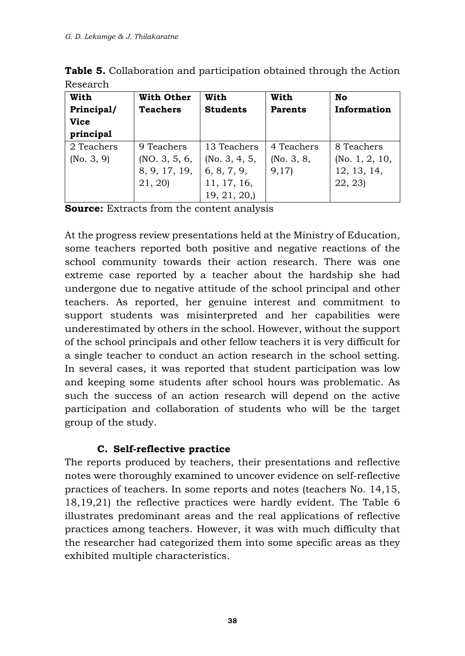| With<br>Principal/<br><b>Vice</b> | With Other<br><b>Teachers</b> | With<br><b>Students</b> | With<br><b>Parents</b> | No<br>Information |
|-----------------------------------|-------------------------------|-------------------------|------------------------|-------------------|
| principal                         |                               |                         |                        |                   |
| 2 Teachers                        | 9 Teachers                    | 13 Teachers             | 4 Teachers             | 8 Teachers        |
| (No. 3, 9)                        | (NO. 3, 5, 6, )               | (No. 3, 4, 5, )         | (No. 3, 8, )           | (No. $1, 2, 10$   |
|                                   | 8, 9, 17, 19,                 | 6, 8, 7, 9,             | 9,17                   | 12, 13, 14,       |
|                                   | 21, 20)                       | 11, 17, 16,             |                        | 22, 23            |
|                                   |                               | 19, 21, 20,             |                        |                   |

**Table 5.** Collaboration and participation obtained through the Action Research

**Source:** Extracts from the content analysis

At the progress review presentations held at the Ministry of Education, some teachers reported both positive and negative reactions of the school community towards their action research. There was one extreme case reported by a teacher about the hardship she had undergone due to negative attitude of the school principal and other teachers. As reported, her genuine interest and commitment to support students was misinterpreted and her capabilities were underestimated by others in the school. However, without the support of the school principals and other fellow teachers it is very difficult for a single teacher to conduct an action research in the school setting. In several cases, it was reported that student participation was low and keeping some students after school hours was problematic. As such the success of an action research will depend on the active participation and collaboration of students who will be the target group of the study.

### **C. Self-reflective practice**

The reports produced by teachers, their presentations and reflective notes were thoroughly examined to uncover evidence on self-reflective practices of teachers. In some reports and notes (teachers No. 14,15, 18,19,21) the reflective practices were hardly evident. The Table 6 illustrates predominant areas and the real applications of reflective practices among teachers. However, it was with much difficulty that the researcher had categorized them into some specific areas as they exhibited multiple characteristics.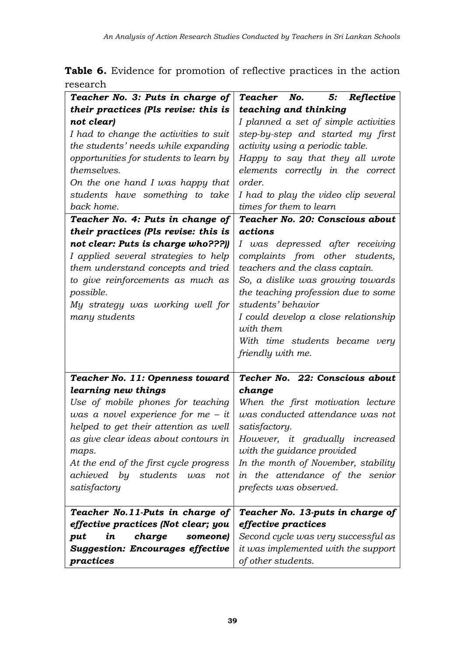**Table 6.** Evidence for promotion of reflective practices in the action research

| Teacher No. 3: Puts in charge of                 | 5:<br>Teacher<br>No.<br>Reflective   |  |
|--------------------------------------------------|--------------------------------------|--|
| their practices (Pls revise: this is             | teaching and thinking                |  |
| not clear)                                       | I planned a set of simple activities |  |
| I had to change the activities to suit           | step-by-step and started my first    |  |
| the students' needs while expanding              | activity using a periodic table.     |  |
| opportunities for students to learn by           | Happy to say that they all wrote     |  |
| themselves.                                      | elements correctly in the correct    |  |
| On the one hand I was happy that                 | order.                               |  |
| students have something to take                  | I had to play the video clip several |  |
| back home.                                       | times for them to learn              |  |
| Teacher No. 4: Puts in change of                 | Teacher No. 20: Conscious about      |  |
| their practices (Pls revise: this is             | actions                              |  |
| not clear: Puts is charge who???))               | I was depressed after receiving      |  |
| I applied several strategies to help             | complaints from other students,      |  |
| them understand concepts and tried               | teachers and the class captain.      |  |
| to give reinforcements as much as                | So, a dislike was growing towards    |  |
| possible.                                        | the teaching profession due to some  |  |
| My strategy was working well for                 | students' behavior                   |  |
| many students                                    | I could develop a close relationship |  |
|                                                  | with them                            |  |
|                                                  | With time students became very       |  |
|                                                  | friendly with me.                    |  |
|                                                  |                                      |  |
| Teacher No. 11: Openness toward                  | Techer No. 22: Conscious about       |  |
| learning new things                              | change                               |  |
| Use of mobile phones for teaching                | When the first motivation lecture    |  |
| was a novel experience for $me - it$             | was conducted attendance was not     |  |
| helped to get their attention as well            | satisfactory.                        |  |
| as give clear ideas about contours in            | However, it gradually increased      |  |
| maps.                                            | with the guidance provided           |  |
| At the end of the first cycle progress           | In the month of November, stability  |  |
| achieved<br>by<br>students<br>$\omega$ as<br>not | the attendance of the senior<br>in   |  |
| satisfactory                                     | prefects was observed.               |  |
|                                                  |                                      |  |
| Teacher No.11-Puts in charge of                  | Teacher No. 13-puts in charge of     |  |
| effective practices (Not clear; you              | effective practices                  |  |
| in<br>put<br>charge<br>someone)                  | Second cycle was very successful as  |  |
| <b>Suggestion: Encourages effective</b>          | it was implemented with the support  |  |
| practices                                        | of other students.                   |  |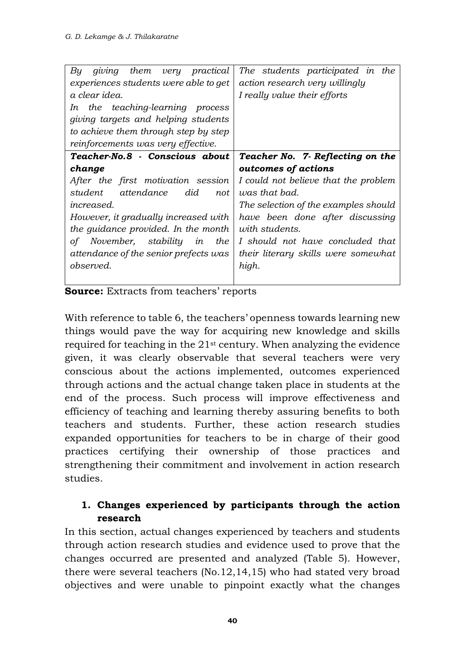| giving<br>them<br>very practical<br>Вu | The students participated in the     |  |  |
|----------------------------------------|--------------------------------------|--|--|
| experiences students were able to get  | action research very willingly       |  |  |
| a clear idea.                          | I really value their efforts         |  |  |
| the teaching-learning process<br>In    |                                      |  |  |
| giving targets and helping students    |                                      |  |  |
| to achieve them through step by step   |                                      |  |  |
| reinforcements was very effective.     |                                      |  |  |
| Teacher-No.8 - Conscious about         | Teacher No. 7- Reflecting on the     |  |  |
| change                                 | outcomes of actions                  |  |  |
| After the first motivation session     | I could not believe that the problem |  |  |
| attendance<br>did<br>student<br>not    | was that bad.                        |  |  |
| <i>increased.</i>                      | The selection of the examples should |  |  |
| However, it gradually increased with   | have been done after discussing      |  |  |
| the guidance provided. In the month    | <i>with students.</i>                |  |  |
| November, stability<br>οf<br>in<br>the | I should not have concluded that     |  |  |
| attendance of the senior prefects was  | their literary skills were somewhat  |  |  |
| observed.                              | high.                                |  |  |
|                                        |                                      |  |  |

**Source:** Extracts from teachers' reports

With reference to table 6, the teachers' openness towards learning new things would pave the way for acquiring new knowledge and skills required for teaching in the 21st century. When analyzing the evidence given, it was clearly observable that several teachers were very conscious about the actions implemented, outcomes experienced through actions and the actual change taken place in students at the end of the process. Such process will improve effectiveness and efficiency of teaching and learning thereby assuring benefits to both teachers and students. Further, these action research studies expanded opportunities for teachers to be in charge of their good practices certifying their ownership of those practices and strengthening their commitment and involvement in action research studies.

### **1. Changes experienced by participants through the action research**

In this section, actual changes experienced by teachers and students through action research studies and evidence used to prove that the changes occurred are presented and analyzed (Table 5). However, there were several teachers (No.12,14,15) who had stated very broad objectives and were unable to pinpoint exactly what the changes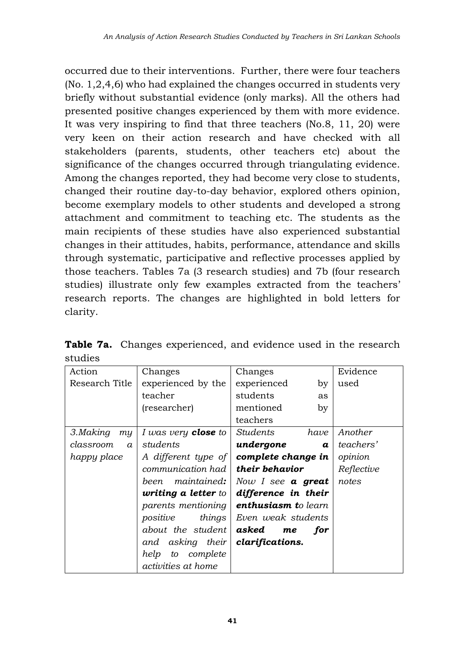occurred due to their interventions. Further, there were four teachers (No. 1,2,4,6) who had explained the changes occurred in students very briefly without substantial evidence (only marks). All the others had presented positive changes experienced by them with more evidence. It was very inspiring to find that three teachers (No.8, 11, 20) were very keen on their action research and have checked with all stakeholders (parents, students, other teachers etc) about the significance of the changes occurred through triangulating evidence. Among the changes reported, they had become very close to students, changed their routine day-to-day behavior, explored others opinion, become exemplary models to other students and developed a strong attachment and commitment to teaching etc. The students as the main recipients of these studies have also experienced substantial changes in their attitudes, habits, performance, attendance and skills through systematic, participative and reflective processes applied by those teachers. Tables 7a (3 research studies) and 7b (four research studies) illustrate only few examples extracted from the teachers' research reports. The changes are highlighted in bold letters for clarity.

| Action                | Changes                            | Changes                       | Evidence   |
|-----------------------|------------------------------------|-------------------------------|------------|
| Research Title        | experienced by the                 | experienced<br>by             | used       |
|                       | teacher                            | students<br>as                |            |
|                       | (researcher)                       | mentioned<br>by               |            |
|                       |                                    | teachers                      |            |
| 3.Making<br>my        | I was very <b>close</b> to         | Students<br>have              | Another    |
| classroom<br>$\alpha$ | students                           | undergone<br>$\boldsymbol{a}$ | teachers'  |
| happy place           | A different type of                | complete change in            | opinion    |
|                       | communication had I                | their behavior                | Reflective |
|                       | maintained:  <br>been.             | Now I see $a$ great           | notes      |
|                       | <b>writing a letter</b> to $\vert$ | difference in their           |            |
|                       | parents mentioning                 | <b>enthusiasm to learn</b>    |            |
|                       | positive<br>things                 | Even weak students            |            |
|                       | about the student                  | asked<br>for<br>me            |            |
|                       | and asking their                   | clarifications.               |            |
|                       | help<br>complete<br>to             |                               |            |
|                       | <i>activities at home</i>          |                               |            |

**Table 7a.** Changes experienced, and evidence used in the research studies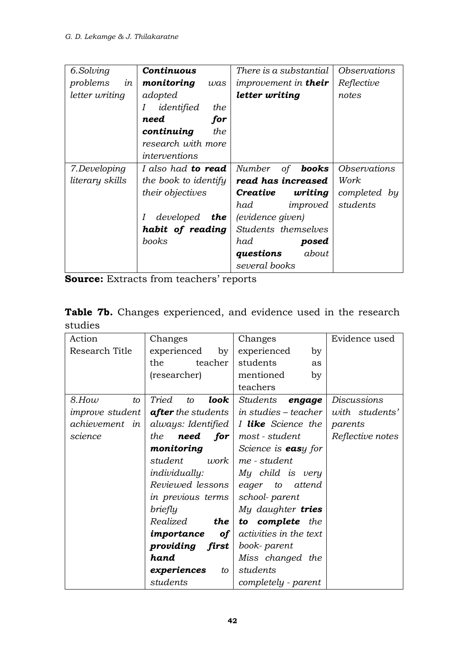| 6.Solving              | Continuous                | There is a substantial             | Observations               |
|------------------------|---------------------------|------------------------------------|----------------------------|
| problems<br>in         | monitoring<br>was         | <i>improvement in <b>their</b></i> | Reflective                 |
| letter writing         | adopted                   | letter writing                     | notes                      |
|                        | identified<br>the<br>Ι    |                                    |                            |
|                        | need<br>for               |                                    |                            |
|                        | continuing<br>the         |                                    |                            |
|                        | research with more        |                                    |                            |
|                        | interventions             |                                    |                            |
| 7.Developing           | I also had <b>to read</b> | Number<br>of <b>books</b>          | <i><b>Observations</b></i> |
| <i>literary</i> skills | the book to identify      | read has increased                 | Work.                      |
|                        | <i>their objectives</i>   | Creative<br>writing                | completed by               |
|                        |                           | had<br>improved                    | students                   |
|                        | Ι<br>developed <b>the</b> | (evidence given)                   |                            |
|                        | habit of reading          | Students themselves                |                            |
|                        | <i>books</i>              | had<br>posed                       |                            |
|                        |                           | about<br>questions                 |                            |
|                        |                           | several books                      |                            |

**Source:** Extracts from teachers' reports

|         | <b>Table 7b.</b> Changes experienced, and evidence used in the research |  |  |  |
|---------|-------------------------------------------------------------------------|--|--|--|
| studies |                                                                         |  |  |  |

| Action                 | Changes                     | Changes                     | Evidence used      |
|------------------------|-----------------------------|-----------------------------|--------------------|
| Research Title         | experienced<br>by           | experienced<br>by           |                    |
|                        | teacher<br>the              | students<br>as              |                    |
|                        | (researcher)                | mentioned<br>by             |                    |
|                        |                             | teachers                    |                    |
| $8.$ How<br>to         | Tried<br>look<br>to         | Students<br>engage          | <i>Discussions</i> |
| <i>improve</i> student | <b>after</b> the students   | in studies – teacher        | with students'     |
| achievement in         | always: Identified          | I like Science the          | parents            |
| science                | need<br>the<br>for $ $      | most - student              | Reflective notes   |
|                        | monitoring                  | Science is <b>eas</b> y for |                    |
|                        | student<br>work.            | me - student                |                    |
|                        | individually:               | My child is very            |                    |
|                        | Reviewed lessons   eager to | attend                      |                    |
|                        | in previous terms           | school-parent               |                    |
|                        | briefly                     | My daughter tries           |                    |
|                        | Realized<br>the             | to complete the             |                    |
|                        | importance<br>of            | activities in the text      |                    |
|                        | providing first             | book- parent                |                    |
|                        | hand                        | Miss changed the            |                    |
|                        | experiences<br>to           | students                    |                    |
|                        | students                    | completely - parent         |                    |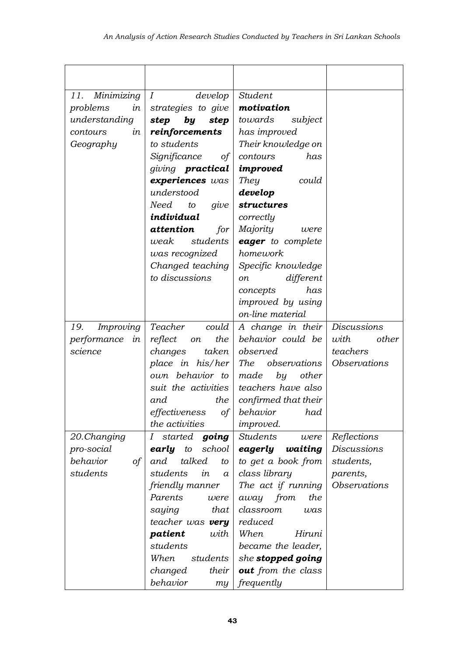| Minimizing<br>11. | $\boldsymbol{I}$<br>$d$ evelop | Student                 |                     |
|-------------------|--------------------------------|-------------------------|---------------------|
| problems<br>in    | strategies to give             | motivation              |                     |
| understanding     | step<br>step<br>by             | towards<br>subject      |                     |
| contours<br>in    | reinforcements                 | has improved            |                     |
| Geography         | to students                    | Their knowledge on      |                     |
|                   | Significance                   | contours<br>has         |                     |
|                   | of                             |                         |                     |
|                   | giving <b>practical</b>        | improved                |                     |
|                   | experiences was                | <b>They</b><br>could    |                     |
|                   | understood                     | develop                 |                     |
|                   | Need<br>to<br>give             | structures              |                     |
|                   | individual                     | correctly               |                     |
|                   | attention<br>for               | Majority<br>were        |                     |
|                   | students<br>weak               | eager to complete       |                     |
|                   | was recognized                 | homework                |                     |
|                   | Changed teaching               | Specific knowledge      |                     |
|                   | to discussions                 | different<br>оn         |                     |
|                   |                                | concepts<br>has         |                     |
|                   |                                | improved by using       |                     |
|                   |                                | on-line material        |                     |
| Improving<br>19.  | Teacher<br>could               | A change in their       | <b>Discussions</b>  |
| performance<br>in | reflect<br>the<br>on           | behavior could be       | with<br>other       |
| science           | taken<br>changes               | observed                | teachers            |
|                   | place in his/her               | The<br>observations     | <b>Observations</b> |
|                   | own behavior to                | made<br>by<br>other     |                     |
|                   | suit the activities            | teachers have also      |                     |
|                   | the<br>and                     | confirmed that their    |                     |
|                   | effectiveness<br>οf            | behavior<br>had         |                     |
|                   | the activities                 | <i>improved.</i>        |                     |
| 20.Changing       | started<br>going<br>1          | <b>Students</b><br>were | Reflections         |
| pro-social        | early<br>school<br>to          | eagerly<br>waiting      | <b>Discussions</b>  |
| behavior<br>of    | talked<br>and<br>to            | to get a book from      | students,           |
| students          | students<br>in<br>a            | class library           | parents,            |
|                   | friendly manner                | The act if running      | <b>Observations</b> |
|                   | Parents<br>were                | the<br>away from        |                     |
|                   | saying<br>that                 | classroom<br>was        |                     |
|                   | teacher was very               | reduced                 |                     |
|                   | patient<br>with                | When<br>Hiruni          |                     |
|                   | students                       | became the leader,      |                     |
|                   | When<br>students               | she stopped going       |                     |
|                   | their<br>changed               | out from the class      |                     |
|                   | behavior<br>m <sub>Y</sub>     | frequently              |                     |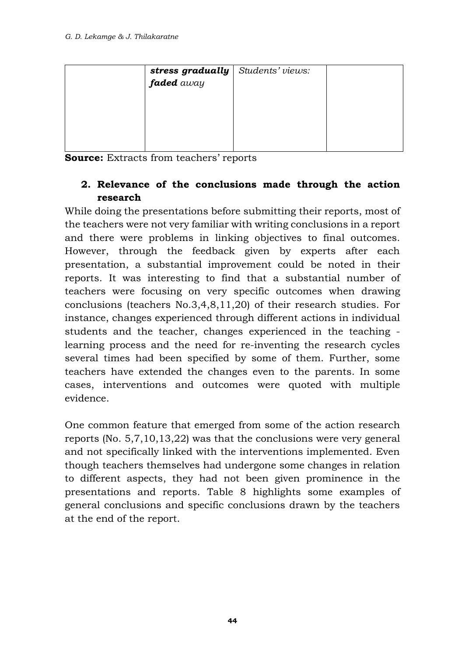| <b>stress gradually</b> Students' views:<br><b>faded</b> away |  |
|---------------------------------------------------------------|--|
|                                                               |  |
|                                                               |  |
|                                                               |  |
|                                                               |  |
|                                                               |  |
|                                                               |  |

**Source:** Extracts from teachers' reports

#### **2. Relevance of the conclusions made through the action research**

While doing the presentations before submitting their reports, most of the teachers were not very familiar with writing conclusions in a report and there were problems in linking objectives to final outcomes. However, through the feedback given by experts after each presentation, a substantial improvement could be noted in their reports. It was interesting to find that a substantial number of teachers were focusing on very specific outcomes when drawing conclusions (teachers No.3,4,8,11,20) of their research studies. For instance, changes experienced through different actions in individual students and the teacher, changes experienced in the teaching learning process and the need for re-inventing the research cycles several times had been specified by some of them. Further, some teachers have extended the changes even to the parents. In some cases, interventions and outcomes were quoted with multiple evidence.

One common feature that emerged from some of the action research reports (No. 5,7,10,13,22) was that the conclusions were very general and not specifically linked with the interventions implemented. Even though teachers themselves had undergone some changes in relation to different aspects, they had not been given prominence in the presentations and reports. Table 8 highlights some examples of general conclusions and specific conclusions drawn by the teachers at the end of the report.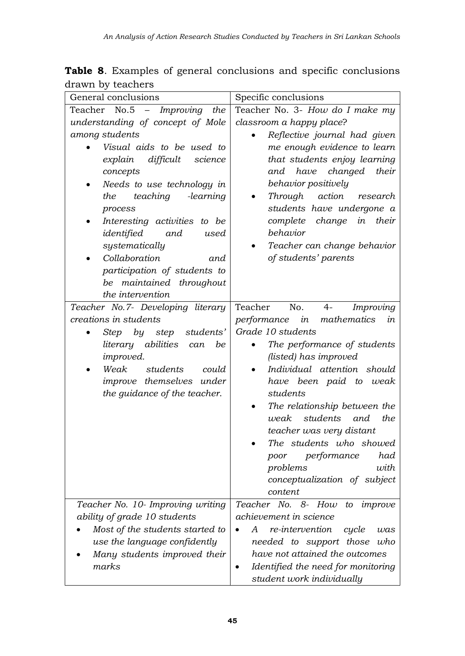**Table 8**. Examples of general conclusions and specific conclusions drawn by teachers

| No.5<br>Teacher No. 3- How do I make my<br>Teacher<br>- Improving the<br>understanding of concept of Mole<br>classroom a happy place?<br>among students<br>Reflective journal had given<br>Visual aids to be used to<br>me enough evidence to learn<br>difficult<br>that students enjoy learning<br>explain<br>science<br>and have changed their<br>concepts<br>Needs to use technology in<br>behavior positively<br>teaching<br>action<br>the<br>-learning<br>Through<br>research<br>students have undergone a<br>process<br>their<br>complete change<br>in<br>Interesting activities<br>to be<br>behavior<br>identified<br>and<br>used<br>systematically<br>Teacher can change behavior<br>of students' parents<br>Collaboration<br>and<br>participation of students to<br>be maintained throughout<br>the intervention<br>No.<br>Teacher No.7- Developing literary<br>Teacher<br>Improving<br>$4-$<br>creations in students<br>performance<br>in<br>mathematics<br>in<br>Grade 10 students<br>Step by step students'<br>literary abilities can<br>The performance of students<br>be<br>(listed) has improved<br><i>improved.</i><br>Weak<br>Individual attention should<br>students<br>could<br>improve themselves under<br>have been paid to weak<br>the guidance of the teacher.<br>students<br>The relationship between the<br>students and<br>the<br>weak<br>teacher was very distant<br>The students who showed |
|-------------------------------------------------------------------------------------------------------------------------------------------------------------------------------------------------------------------------------------------------------------------------------------------------------------------------------------------------------------------------------------------------------------------------------------------------------------------------------------------------------------------------------------------------------------------------------------------------------------------------------------------------------------------------------------------------------------------------------------------------------------------------------------------------------------------------------------------------------------------------------------------------------------------------------------------------------------------------------------------------------------------------------------------------------------------------------------------------------------------------------------------------------------------------------------------------------------------------------------------------------------------------------------------------------------------------------------------------------------------------------------------------------------------------|
|                                                                                                                                                                                                                                                                                                                                                                                                                                                                                                                                                                                                                                                                                                                                                                                                                                                                                                                                                                                                                                                                                                                                                                                                                                                                                                                                                                                                                         |
|                                                                                                                                                                                                                                                                                                                                                                                                                                                                                                                                                                                                                                                                                                                                                                                                                                                                                                                                                                                                                                                                                                                                                                                                                                                                                                                                                                                                                         |
|                                                                                                                                                                                                                                                                                                                                                                                                                                                                                                                                                                                                                                                                                                                                                                                                                                                                                                                                                                                                                                                                                                                                                                                                                                                                                                                                                                                                                         |
|                                                                                                                                                                                                                                                                                                                                                                                                                                                                                                                                                                                                                                                                                                                                                                                                                                                                                                                                                                                                                                                                                                                                                                                                                                                                                                                                                                                                                         |
|                                                                                                                                                                                                                                                                                                                                                                                                                                                                                                                                                                                                                                                                                                                                                                                                                                                                                                                                                                                                                                                                                                                                                                                                                                                                                                                                                                                                                         |
|                                                                                                                                                                                                                                                                                                                                                                                                                                                                                                                                                                                                                                                                                                                                                                                                                                                                                                                                                                                                                                                                                                                                                                                                                                                                                                                                                                                                                         |
|                                                                                                                                                                                                                                                                                                                                                                                                                                                                                                                                                                                                                                                                                                                                                                                                                                                                                                                                                                                                                                                                                                                                                                                                                                                                                                                                                                                                                         |
|                                                                                                                                                                                                                                                                                                                                                                                                                                                                                                                                                                                                                                                                                                                                                                                                                                                                                                                                                                                                                                                                                                                                                                                                                                                                                                                                                                                                                         |
|                                                                                                                                                                                                                                                                                                                                                                                                                                                                                                                                                                                                                                                                                                                                                                                                                                                                                                                                                                                                                                                                                                                                                                                                                                                                                                                                                                                                                         |
|                                                                                                                                                                                                                                                                                                                                                                                                                                                                                                                                                                                                                                                                                                                                                                                                                                                                                                                                                                                                                                                                                                                                                                                                                                                                                                                                                                                                                         |
|                                                                                                                                                                                                                                                                                                                                                                                                                                                                                                                                                                                                                                                                                                                                                                                                                                                                                                                                                                                                                                                                                                                                                                                                                                                                                                                                                                                                                         |
|                                                                                                                                                                                                                                                                                                                                                                                                                                                                                                                                                                                                                                                                                                                                                                                                                                                                                                                                                                                                                                                                                                                                                                                                                                                                                                                                                                                                                         |
|                                                                                                                                                                                                                                                                                                                                                                                                                                                                                                                                                                                                                                                                                                                                                                                                                                                                                                                                                                                                                                                                                                                                                                                                                                                                                                                                                                                                                         |
|                                                                                                                                                                                                                                                                                                                                                                                                                                                                                                                                                                                                                                                                                                                                                                                                                                                                                                                                                                                                                                                                                                                                                                                                                                                                                                                                                                                                                         |
|                                                                                                                                                                                                                                                                                                                                                                                                                                                                                                                                                                                                                                                                                                                                                                                                                                                                                                                                                                                                                                                                                                                                                                                                                                                                                                                                                                                                                         |
|                                                                                                                                                                                                                                                                                                                                                                                                                                                                                                                                                                                                                                                                                                                                                                                                                                                                                                                                                                                                                                                                                                                                                                                                                                                                                                                                                                                                                         |
|                                                                                                                                                                                                                                                                                                                                                                                                                                                                                                                                                                                                                                                                                                                                                                                                                                                                                                                                                                                                                                                                                                                                                                                                                                                                                                                                                                                                                         |
|                                                                                                                                                                                                                                                                                                                                                                                                                                                                                                                                                                                                                                                                                                                                                                                                                                                                                                                                                                                                                                                                                                                                                                                                                                                                                                                                                                                                                         |
|                                                                                                                                                                                                                                                                                                                                                                                                                                                                                                                                                                                                                                                                                                                                                                                                                                                                                                                                                                                                                                                                                                                                                                                                                                                                                                                                                                                                                         |
|                                                                                                                                                                                                                                                                                                                                                                                                                                                                                                                                                                                                                                                                                                                                                                                                                                                                                                                                                                                                                                                                                                                                                                                                                                                                                                                                                                                                                         |
|                                                                                                                                                                                                                                                                                                                                                                                                                                                                                                                                                                                                                                                                                                                                                                                                                                                                                                                                                                                                                                                                                                                                                                                                                                                                                                                                                                                                                         |
|                                                                                                                                                                                                                                                                                                                                                                                                                                                                                                                                                                                                                                                                                                                                                                                                                                                                                                                                                                                                                                                                                                                                                                                                                                                                                                                                                                                                                         |
|                                                                                                                                                                                                                                                                                                                                                                                                                                                                                                                                                                                                                                                                                                                                                                                                                                                                                                                                                                                                                                                                                                                                                                                                                                                                                                                                                                                                                         |
|                                                                                                                                                                                                                                                                                                                                                                                                                                                                                                                                                                                                                                                                                                                                                                                                                                                                                                                                                                                                                                                                                                                                                                                                                                                                                                                                                                                                                         |
|                                                                                                                                                                                                                                                                                                                                                                                                                                                                                                                                                                                                                                                                                                                                                                                                                                                                                                                                                                                                                                                                                                                                                                                                                                                                                                                                                                                                                         |
|                                                                                                                                                                                                                                                                                                                                                                                                                                                                                                                                                                                                                                                                                                                                                                                                                                                                                                                                                                                                                                                                                                                                                                                                                                                                                                                                                                                                                         |
|                                                                                                                                                                                                                                                                                                                                                                                                                                                                                                                                                                                                                                                                                                                                                                                                                                                                                                                                                                                                                                                                                                                                                                                                                                                                                                                                                                                                                         |
|                                                                                                                                                                                                                                                                                                                                                                                                                                                                                                                                                                                                                                                                                                                                                                                                                                                                                                                                                                                                                                                                                                                                                                                                                                                                                                                                                                                                                         |
| performance<br>had<br>poor                                                                                                                                                                                                                                                                                                                                                                                                                                                                                                                                                                                                                                                                                                                                                                                                                                                                                                                                                                                                                                                                                                                                                                                                                                                                                                                                                                                              |
| problems<br>with                                                                                                                                                                                                                                                                                                                                                                                                                                                                                                                                                                                                                                                                                                                                                                                                                                                                                                                                                                                                                                                                                                                                                                                                                                                                                                                                                                                                        |
| conceptualization of subject                                                                                                                                                                                                                                                                                                                                                                                                                                                                                                                                                                                                                                                                                                                                                                                                                                                                                                                                                                                                                                                                                                                                                                                                                                                                                                                                                                                            |
| content                                                                                                                                                                                                                                                                                                                                                                                                                                                                                                                                                                                                                                                                                                                                                                                                                                                                                                                                                                                                                                                                                                                                                                                                                                                                                                                                                                                                                 |
| Teacher No. 8- How<br>Teacher No. 10- Improving writing<br>to<br>improve                                                                                                                                                                                                                                                                                                                                                                                                                                                                                                                                                                                                                                                                                                                                                                                                                                                                                                                                                                                                                                                                                                                                                                                                                                                                                                                                                |
| achievement in science<br>ability of grade 10 students                                                                                                                                                                                                                                                                                                                                                                                                                                                                                                                                                                                                                                                                                                                                                                                                                                                                                                                                                                                                                                                                                                                                                                                                                                                                                                                                                                  |
| Most of the students started to<br>re-intervention<br>А<br>cycle<br>was                                                                                                                                                                                                                                                                                                                                                                                                                                                                                                                                                                                                                                                                                                                                                                                                                                                                                                                                                                                                                                                                                                                                                                                                                                                                                                                                                 |
| use the language confidently<br>needed to support those<br>who                                                                                                                                                                                                                                                                                                                                                                                                                                                                                                                                                                                                                                                                                                                                                                                                                                                                                                                                                                                                                                                                                                                                                                                                                                                                                                                                                          |
| have not attained the outcomes<br>Many students improved their<br>marks                                                                                                                                                                                                                                                                                                                                                                                                                                                                                                                                                                                                                                                                                                                                                                                                                                                                                                                                                                                                                                                                                                                                                                                                                                                                                                                                                 |
| Identified the need for monitoring<br>student work individually                                                                                                                                                                                                                                                                                                                                                                                                                                                                                                                                                                                                                                                                                                                                                                                                                                                                                                                                                                                                                                                                                                                                                                                                                                                                                                                                                         |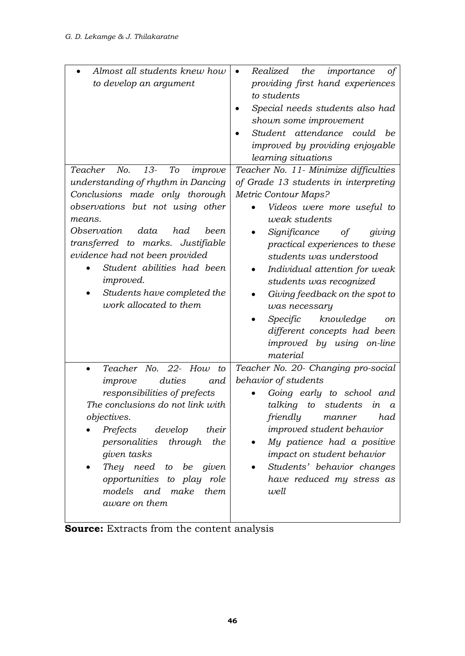| Almost all students knew how              | Realized<br>the<br>importance<br>оf   |
|-------------------------------------------|---------------------------------------|
| to develop an argument                    | providing first hand experiences      |
|                                           | to students                           |
|                                           | Special needs students also had       |
|                                           | shown some improvement                |
|                                           | Student attendance<br>could<br>be     |
|                                           | improved by providing enjoyable       |
|                                           | learning situations                   |
| Teacher<br>No.<br>$13-$<br>To<br>improve  | Teacher No. 11- Minimize difficulties |
| understanding of rhythm in Dancing        | of Grade 13 students in interpreting  |
| Conclusions made only thorough            | Metric Contour Maps?                  |
| observations but not using other          | Videos were more useful to            |
| means.                                    | weak students                         |
| Observation<br>data<br>had<br>been.       | Significance<br>giving<br>of          |
| transferred to marks. Justifiable         | practical experiences to these        |
| evidence had not been provided            | students was understood               |
| Student abilities had been                | Individual attention for weak         |
| <i>improved.</i>                          | students was recognized               |
| Students have completed the               | Giving feedback on the spot to        |
| work allocated to them                    | was necessary                         |
|                                           | Specific<br>knowledge<br>on           |
|                                           | different concepts had been           |
|                                           | improved by using on-line             |
|                                           | material                              |
| Teacher No.<br>$22 -$<br>How<br>$\it{to}$ | Teacher No. 20- Changing pro-social   |
| duties<br>improve<br>and                  | behavior of students                  |
| responsibilities of prefects              | Going early to school and             |
| The conclusions do not link with          | students<br>talking<br>to<br>in<br>a  |
| objectives.                               | friendly<br>had<br>manner             |
| Prefects<br>develop<br>their              | improved student behavior             |
| personalities<br>through<br>the           | My patience had a positive            |
| given tasks                               | impact on student behavior            |
| They need<br>be<br>given<br>to            | Students' behavior changes            |
| opportunities<br>to play<br>role          | have reduced my stress as             |
| make<br>models and<br>them                | well                                  |
| aware on them                             |                                       |

**Source:** Extracts from the content analysis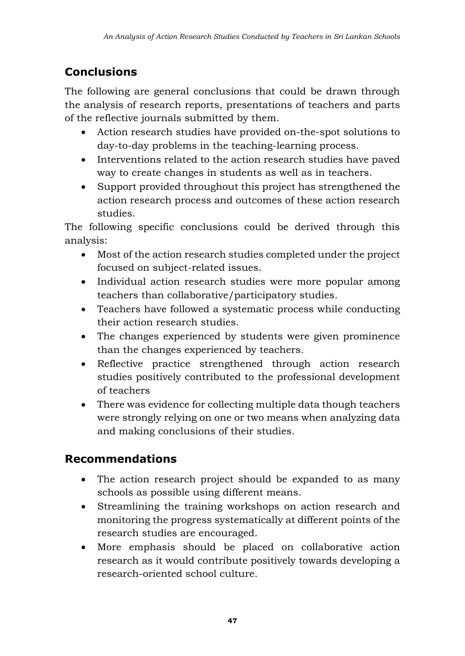# **Conclusions**

The following are general conclusions that could be drawn through the analysis of research reports, presentations of teachers and parts of the reflective journals submitted by them.

- Action research studies have provided on-the-spot solutions to day-to-day problems in the teaching-learning process.
- Interventions related to the action research studies have paved way to create changes in students as well as in teachers.
- Support provided throughout this project has strengthened the action research process and outcomes of these action research studies.

The following specific conclusions could be derived through this analysis:

- Most of the action research studies completed under the project focused on subject-related issues.
- Individual action research studies were more popular among teachers than collaborative/participatory studies.
- Teachers have followed a systematic process while conducting their action research studies.
- The changes experienced by students were given prominence than the changes experienced by teachers.
- Reflective practice strengthened through action research studies positively contributed to the professional development of teachers
- There was evidence for collecting multiple data though teachers were strongly relying on one or two means when analyzing data and making conclusions of their studies.

## **Recommendations**

- The action research project should be expanded to as many schools as possible using different means.
- Streamlining the training workshops on action research and monitoring the progress systematically at different points of the research studies are encouraged.
- More emphasis should be placed on collaborative action research as it would contribute positively towards developing a research-oriented school culture.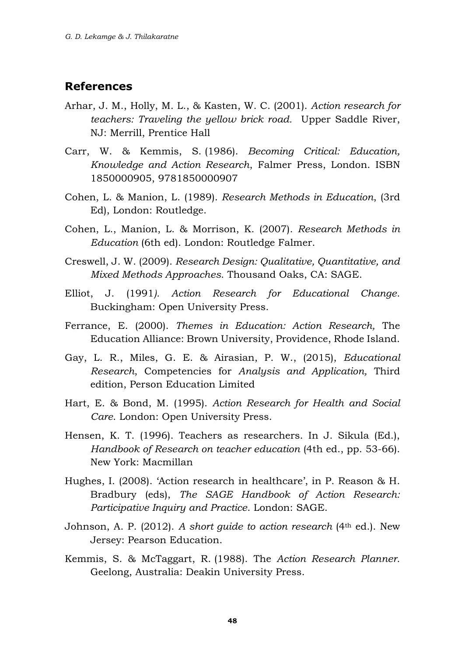#### **References**

- Arhar, J. M., Holly, M. L., & Kasten, W. C. (2001). *Action research for teachers: Traveling the yellow brick road.* Upper Saddle River, NJ: Merrill, Prentice Hall
- Carr, W. & Kemmis, S. (1986). *Becoming Critical: Education, Knowledge and Action Research*, Falmer Press, London. ISBN 1850000905, 9781850000907
- Cohen, L. & Manion, L. (1989). *Research Methods in Education*, (3rd Ed), London: Routledge.
- Cohen, L., Manion, L. & Morrison, K. (2007). *Research Methods in Education* (6th ed). London: Routledge Falmer.
- Creswell, J. W. (2009). *Research Design: Qualitative, Quantitative, and Mixed Methods Approaches*. Thousand Oaks, CA: SAGE.
- Elliot, J. (1991*). Action Research for Educational Change*. Buckingham: Open University Press.
- Ferrance, E. (2000). *Themes in Education: Action Research,* The Education Alliance: Brown University, Providence, Rhode Island.
- Gay, L. R., Miles, G. E. & Airasian, P. W., (2015), *Educational Research*, Competencies for *Analysis and Application,* Third edition, Person Education Limited
- Hart, E. & Bond, M. (1995). *Action Research for Health and Social Care*. London: Open University Press.
- Hensen, K. T. (1996). Teachers as researchers. In J. Sikula (Ed.), *Handbook of Research on teacher education* (4th ed., pp. 53-66). New York: Macmillan
- Hughes, I. (2008). 'Action research in healthcare', in P. Reason & H. Bradbury (eds), *The SAGE Handbook of Action Research: Participative Inquiry and Practice*. London: SAGE.
- Johnson, A. P. (2012). *A short guide to action research* (4th ed.). New Jersey: Pearson Education.
- Kemmis, S. & McTaggart, R. (1988). The *Action Research Planner*. Geelong, Australia: Deakin University Press.